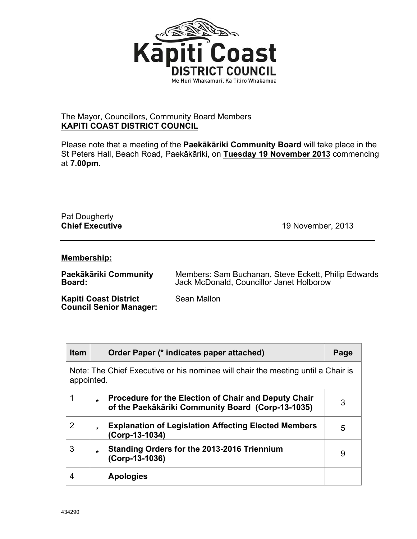

## The Mayor, Councillors, Community Board Members **KAPITI COAST DISTRICT COUNCIL**

Please note that a meeting of the **Paekākāriki Community Board** will take place in the St Peters Hall, Beach Road, Paekākāriki, on **Tuesday 19 November 2013** commencing at **7.00pm**.

## Pat Dougherty<br>Chief Executive

**Chief Executive** 19 November, 2013

## **Membership:**

**Paekākāriki Community Board:**  Members: Sam Buchanan, Steve Eckett, Philip Edwards Jack McDonald, Councillor Janet Holborow

**Kapiti Coast District Council Senior Manager:**  Sean Mallon

| <b>Item</b>                                                                                    | Order Paper (* indicates paper attached)                                                                              | Page |  |
|------------------------------------------------------------------------------------------------|-----------------------------------------------------------------------------------------------------------------------|------|--|
| Note: The Chief Executive or his nominee will chair the meeting until a Chair is<br>appointed. |                                                                                                                       |      |  |
| 1                                                                                              | <b>Procedure for the Election of Chair and Deputy Chair</b><br>÷<br>of the Paekākāriki Community Board (Corp-13-1035) | 3    |  |
| 2                                                                                              | <b>Explanation of Legislation Affecting Elected Members</b><br>$\star$<br>(Corp-13-1034)                              | 5    |  |
| 3                                                                                              | <b>Standing Orders for the 2013-2016 Triennium</b><br>÷<br>$(Corp-13-1036)$                                           | 9    |  |
| 4                                                                                              | <b>Apologies</b>                                                                                                      |      |  |